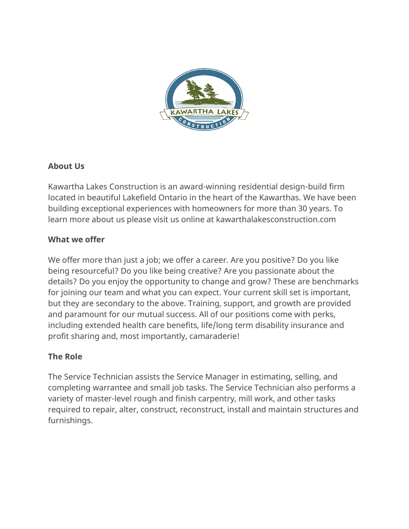

# **About Us**

Kawartha Lakes Construction is an award-winning residential design-build firm located in beautiful Lakefield Ontario in the heart of the Kawarthas. We have been building exceptional experiences with homeowners for more than 30 years. To learn more about us please visit us online at kawarthalakesconstruction.com

## **What we offer**

We offer more than just a job; we offer a career. Are you positive? Do you like being resourceful? Do you like being creative? Are you passionate about the details? Do you enjoy the opportunity to change and grow? These are benchmarks for joining our team and what you can expect. Your current skill set is important, but they are secondary to the above. Training, support, and growth are provided and paramount for our mutual success. All of our positions come with perks, including extended health care benefits, life/long term disability insurance and profit sharing and, most importantly, camaraderie!

# **The Role**

The Service Technician assists the Service Manager in estimating, selling, and completing warrantee and small job tasks. The Service Technician also performs a variety of master-level rough and finish carpentry, mill work, and other tasks required to repair, alter, construct, reconstruct, install and maintain structures and furnishings.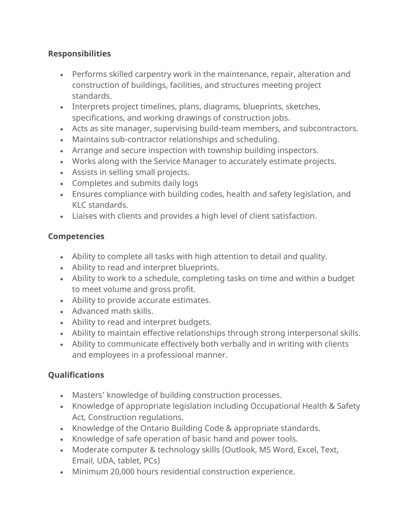## **Responsibilities**

- Performs skilled carpentry work in the maintenance, repair, alteration and construction of buildings, facilities, and structures meeting project standards.
- Interprets project timelines, plans, diagrams, blueprints, sketches, specifications, and working drawings of construction jobs.
- Acts as site manager, supervising build-team members, and subcontractors.
- Maintains sub-contractor relationships and scheduling.
- Arrange and secure inspection with township building inspectors.
- Works along with the Service Manager to accurately estimate projects.
- Assists in selling small projects.
- Completes and submits daily logs
- Ensures compliance with building codes, health and safety legislation, and KLC standards.
- Liaises with clients and provides a high level of client satisfaction.

## **Competencies**

- Ability to complete all tasks with high attention to detail and quality.
- Ability to read and interpret blueprints.
- Ability to work to a schedule, completing tasks on time and within a budget to meet volume and gross profit.
- Ability to provide accurate estimates.
- Advanced math skills.
- Ability to read and interpret budgets.
- Ability to maintain effective relationships through strong interpersonal skills.
- Ability to communicate effectively both verbally and in writing with clients and employees in a professional manner.

# **Qualifications**

- Masters' knowledge of building construction processes.
- Knowledge of appropriate legislation including Occupational Health & Safety Act, Construction regulations.
- Knowledge of the Ontario Building Code & appropriate standards.
- Knowledge of safe operation of basic hand and power tools.
- Moderate computer & technology skills (Outlook, MS Word, Excel, Text, Email, UDA, tablet, PCs)
- Minimum 20,000 hours residential construction experience.